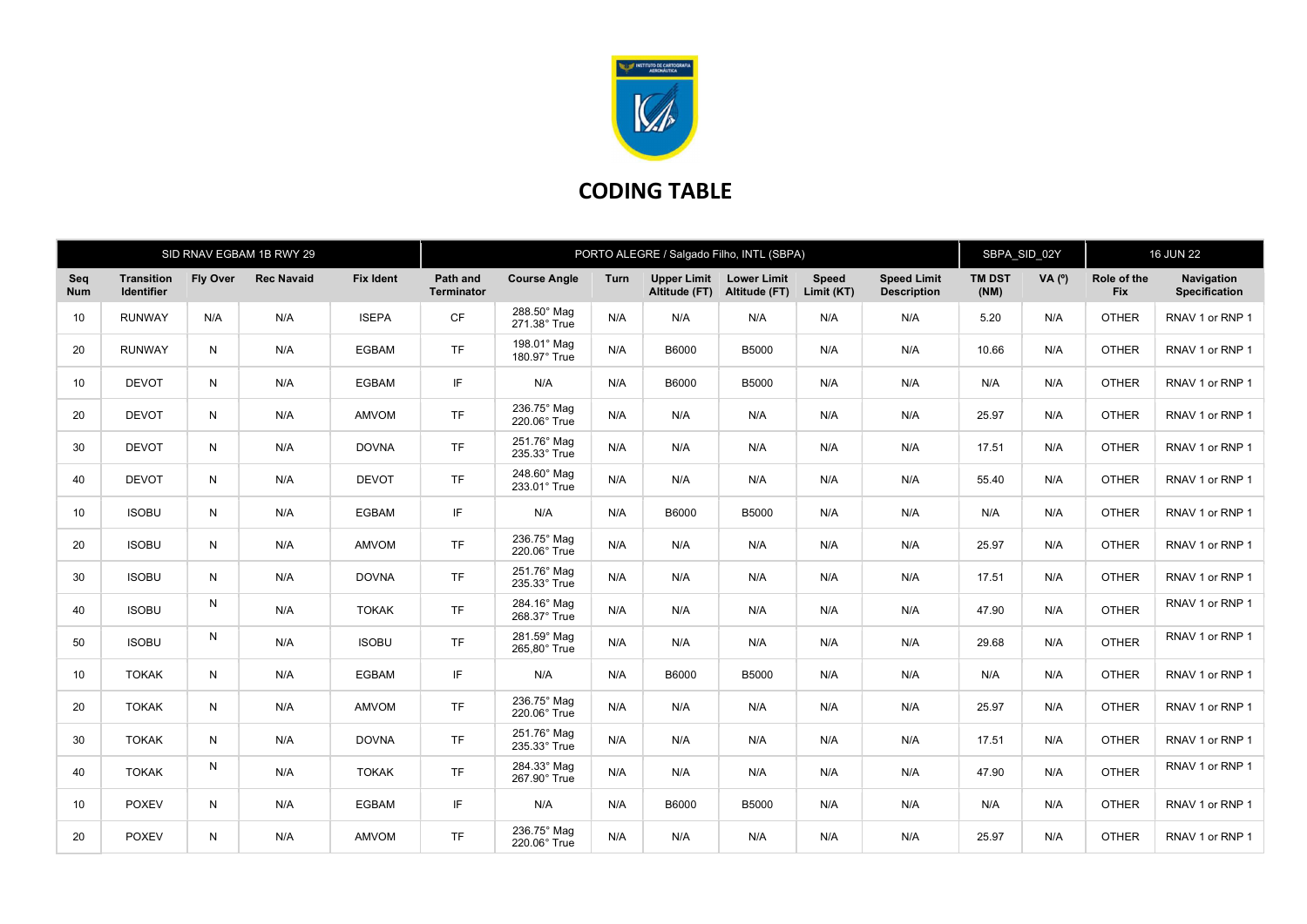

## CODING TABLE

|                   |                          |              | SID RNAV EGBAM 1B RWY 29 |                  | PORTO ALEGRE / Salgado Filho, INTL (SBPA) |                             |      |                              |                                     |                            |                                          |                       | SBPA SID 02Y |                           | <b>16 JUN 22</b>            |  |
|-------------------|--------------------------|--------------|--------------------------|------------------|-------------------------------------------|-----------------------------|------|------------------------------|-------------------------------------|----------------------------|------------------------------------------|-----------------------|--------------|---------------------------|-----------------------------|--|
| Seq<br><b>Num</b> | Transition<br>Identifier | Fly Over     | <b>Rec Navaid</b>        | <b>Fix Ident</b> | Path and<br>Terminator                    | <b>Course Angle</b>         | Turn | Upper Limit<br>Altitude (FT) | <b>Lower Limit</b><br>Altitude (FT) | <b>Speed</b><br>Limit (KT) | <b>Speed Limit</b><br><b>Description</b> | <b>TM DST</b><br>(NM) | VA(°)        | Role of the<br><b>Fix</b> | Navigation<br>Specification |  |
| 10 <sup>°</sup>   | <b>RUNWAY</b>            | N/A          | N/A                      | <b>ISEPA</b>     | CF                                        | 288.50° Mag<br>271.38° True | N/A  | N/A                          | N/A                                 | N/A                        | N/A                                      | 5.20                  | N/A          | <b>OTHER</b>              | RNAV 1 or RNP 1             |  |
| 20                | <b>RUNWAY</b>            | N            | N/A                      | <b>EGBAM</b>     | <b>TF</b>                                 | 198.01° Mag<br>180.97° True | N/A  | B6000                        | <b>B5000</b>                        | N/A                        | N/A                                      | 10.66                 | N/A          | <b>OTHER</b>              | RNAV 1 or RNP 1             |  |
| 10                | <b>DEVOT</b>             | N            | N/A                      | <b>EGBAM</b>     | IF.                                       | N/A                         | N/A  | B6000                        | B5000                               | N/A                        | N/A                                      | N/A                   | N/A          | <b>OTHER</b>              | RNAV 1 or RNP 1             |  |
| 20                | <b>DEVOT</b>             | N            | N/A                      | <b>AMVOM</b>     | <b>TF</b>                                 | 236.75° Mag<br>220.06° True | N/A  | N/A                          | N/A                                 | N/A                        | N/A                                      | 25.97                 | N/A          | <b>OTHER</b>              | RNAV 1 or RNP 1             |  |
| 30                | <b>DEVOT</b>             | N            | N/A                      | <b>DOVNA</b>     | <b>TF</b>                                 | 251.76° Mag<br>235.33° True | N/A  | N/A                          | N/A                                 | N/A                        | N/A                                      | 17.51                 | N/A          | <b>OTHER</b>              | RNAV 1 or RNP 1             |  |
| 40                | <b>DEVOT</b>             | N            | N/A                      | <b>DEVOT</b>     | <b>TF</b>                                 | 248.60° Mag<br>233.01° True | N/A  | N/A                          | N/A                                 | N/A                        | N/A                                      | 55.40                 | N/A          | <b>OTHER</b>              | RNAV 1 or RNP 1             |  |
| 10 <sup>°</sup>   | <b>ISOBU</b>             | N            | N/A                      | <b>EGBAM</b>     | IF.                                       | N/A                         | N/A  | B6000                        | B5000                               | N/A                        | N/A                                      | N/A                   | N/A          | <b>OTHER</b>              | RNAV 1 or RNP 1             |  |
| 20                | <b>ISOBU</b>             | N            | N/A                      | AMVOM            | <b>TF</b>                                 | 236.75° Mag<br>220.06° True | N/A  | N/A                          | N/A                                 | N/A                        | N/A                                      | 25.97                 | N/A          | <b>OTHER</b>              | RNAV 1 or RNP 1             |  |
| 30                | <b>ISOBU</b>             | $\mathsf{N}$ | N/A                      | <b>DOVNA</b>     | <b>TF</b>                                 | 251.76° Mag<br>235.33° True | N/A  | N/A                          | N/A                                 | N/A                        | N/A                                      | 17.51                 | N/A          | <b>OTHER</b>              | RNAV 1 or RNP 1             |  |
| 40                | <b>ISOBU</b>             | N            | N/A                      | <b>TOKAK</b>     | <b>TF</b>                                 | 284.16° Mag<br>268.37° True | N/A  | N/A                          | N/A                                 | N/A                        | N/A                                      | 47.90                 | N/A          | <b>OTHER</b>              | RNAV 1 or RNP 1             |  |
| 50                | <b>ISOBU</b>             | N            | N/A                      | <b>ISOBU</b>     | <b>TF</b>                                 | 281.59° Mag<br>265,80° True | N/A  | N/A                          | N/A                                 | N/A                        | N/A                                      | 29.68                 | N/A          | <b>OTHER</b>              | RNAV 1 or RNP 1             |  |
| 10 <sup>1</sup>   | <b>TOKAK</b>             | N            | N/A                      | <b>EGBAM</b>     | IF.                                       | N/A                         | N/A  | B6000                        | B5000                               | N/A                        | N/A                                      | N/A                   | N/A          | <b>OTHER</b>              | RNAV 1 or RNP 1             |  |
| 20                | <b>TOKAK</b>             | N            | N/A                      | AMVOM            | <b>TF</b>                                 | 236.75° Mag<br>220.06° True | N/A  | N/A                          | N/A                                 | N/A                        | N/A                                      | 25.97                 | N/A          | <b>OTHER</b>              | RNAV 1 or RNP 1             |  |
| 30                | <b>TOKAK</b>             | $\mathsf{N}$ | N/A                      | <b>DOVNA</b>     | <b>TF</b>                                 | 251.76° Mag<br>235.33° True | N/A  | N/A                          | N/A                                 | N/A                        | N/A                                      | 17.51                 | N/A          | <b>OTHER</b>              | RNAV 1 or RNP 1             |  |
| 40                | <b>TOKAK</b>             | N            | N/A                      | <b>TOKAK</b>     | <b>TF</b>                                 | 284.33° Mag<br>267.90° True | N/A  | N/A                          | N/A                                 | N/A                        | N/A                                      | 47.90                 | N/A          | <b>OTHER</b>              | RNAV 1 or RNP 1             |  |
| 10 <sup>°</sup>   | <b>POXEV</b>             | N            | N/A                      | <b>EGBAM</b>     | IF.                                       | N/A                         | N/A  | B6000                        | B5000                               | N/A                        | N/A                                      | N/A                   | N/A          | <b>OTHER</b>              | RNAV 1 or RNP 1             |  |
| 20                | <b>POXEV</b>             | N            | N/A                      | AMVOM            | <b>TF</b>                                 | 236.75° Mag<br>220.06° True | N/A  | N/A                          | N/A                                 | N/A                        | N/A                                      | 25.97                 | N/A          | <b>OTHER</b>              | RNAV 1 or RNP 1             |  |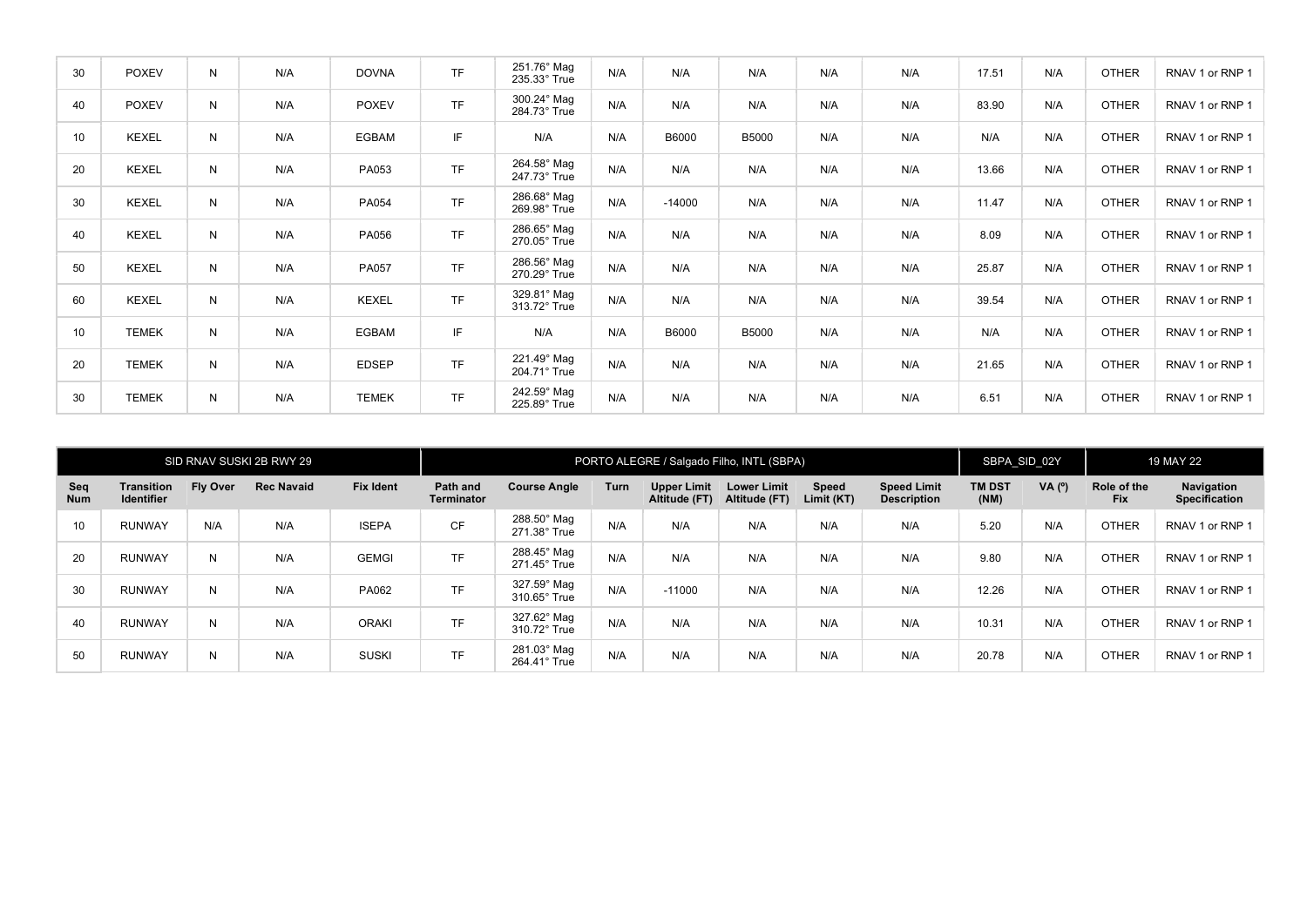| 30 | <b>POXEV</b> | N | N/A | <b>DOVNA</b> | <b>TF</b> | 251.76° Mag<br>235.33° True | N/A | N/A      | N/A          | N/A | N/A | 17.51 | N/A | <b>OTHER</b> | RNAV 1 or RNP 1 |
|----|--------------|---|-----|--------------|-----------|-----------------------------|-----|----------|--------------|-----|-----|-------|-----|--------------|-----------------|
| 40 | <b>POXEV</b> | N | N/A | <b>POXEV</b> | TF        | 300.24° Mag<br>284.73° True | N/A | N/A      | N/A          | N/A | N/A | 83.90 | N/A | <b>OTHER</b> | RNAV 1 or RNP 1 |
| 10 | <b>KEXEL</b> | N | N/A | <b>EGBAM</b> | IF        | N/A                         | N/A | B6000    | <b>B5000</b> | N/A | N/A | N/A   | N/A | <b>OTHER</b> | RNAV 1 or RNP 1 |
| 20 | <b>KEXEL</b> | N | N/A | PA053        | <b>TF</b> | 264.58° Mag<br>247.73° True | N/A | N/A      | N/A          | N/A | N/A | 13.66 | N/A | <b>OTHER</b> | RNAV 1 or RNP 1 |
| 30 | <b>KEXEL</b> | N | N/A | PA054        | <b>TF</b> | 286.68° Mag<br>269.98° True | N/A | $-14000$ | N/A          | N/A | N/A | 11.47 | N/A | <b>OTHER</b> | RNAV 1 or RNP 1 |
| 40 | <b>KEXEL</b> | N | N/A | PA056        | <b>TF</b> | 286.65° Mag<br>270.05° True | N/A | N/A      | N/A          | N/A | N/A | 8.09  | N/A | <b>OTHER</b> | RNAV 1 or RNP 1 |
| 50 | <b>KEXEL</b> | N | N/A | PA057        | <b>TF</b> | 286.56° Mag<br>270.29° True | N/A | N/A      | N/A          | N/A | N/A | 25.87 | N/A | <b>OTHER</b> | RNAV 1 or RNP 1 |
| 60 | <b>KEXEL</b> | N | N/A | <b>KEXEL</b> | <b>TF</b> | 329.81° Mag<br>313.72° True | N/A | N/A      | N/A          | N/A | N/A | 39.54 | N/A | <b>OTHER</b> | RNAV 1 or RNP 1 |
| 10 | <b>TEMEK</b> | N | N/A | <b>EGBAM</b> | IF        | N/A                         | N/A | B6000    | B5000        | N/A | N/A | N/A   | N/A | <b>OTHER</b> | RNAV 1 or RNP 1 |
| 20 | <b>TEMEK</b> | N | N/A | <b>EDSEP</b> | TF        | 221.49° Mag<br>204.71° True | N/A | N/A      | N/A          | N/A | N/A | 21.65 | N/A | <b>OTHER</b> | RNAV 1 or RNP 1 |
| 30 | <b>TEMEK</b> | N | N/A | <b>TEMEK</b> | <b>TF</b> | 242.59° Mag<br>225.89° True | N/A | N/A      | N/A          | N/A | N/A | 6.51  | N/A | <b>OTHER</b> | RNAV 1 or RNP 1 |

|                   |                                        |                 | SID RNAV SUSKI 2B RWY 29 |              | PORTO ALEGRE / Salgado Filho, INTL (SBPA) |                                    |      |                                     |                                     |                     |                                          | SBPA SID 02Y          |        | 19 MAY 22                 |                                           |
|-------------------|----------------------------------------|-----------------|--------------------------|--------------|-------------------------------------------|------------------------------------|------|-------------------------------------|-------------------------------------|---------------------|------------------------------------------|-----------------------|--------|---------------------------|-------------------------------------------|
| Seq<br><b>Num</b> | <b>Transition</b><br><b>Identifier</b> | <b>Fly Over</b> | <b>Rec Navaid</b>        | Fix Ident    | Path and<br><b>Terminator</b>             | <b>Course Angle</b>                | Turn | <b>Upper Limit</b><br>Altitude (FT) | <b>Lower Limit</b><br>Altitude (FT) | Speed<br>Limit (KT) | <b>Speed Limit</b><br><b>Description</b> | <b>TM DST</b><br>(NM) | VA (°) | Role of the<br><b>Fix</b> | <b>Navigation</b><br><b>Specification</b> |
| 10 <sup>°</sup>   | <b>RUNWAY</b>                          | N/A             | N/A                      | <b>ISEPA</b> | <b>CF</b>                                 | 288.50° Mag<br>$271.38^\circ$ True | N/A  | N/A                                 | N/A                                 | N/A                 | N/A                                      | 5.20                  | N/A    | <b>OTHER</b>              | RNAV 1 or RNP 1                           |
| 20                | <b>RUNWAY</b>                          | N               | N/A                      | <b>GEMGI</b> | <b>TF</b>                                 | 288.45° Mag<br>$271.45^\circ$ True | N/A  | N/A                                 | N/A                                 | N/A                 | N/A                                      | 9.80                  | N/A    | <b>OTHER</b>              | RNAV 1 or RNP 1                           |
| 30                | <b>RUNWAY</b>                          | N               | N/A                      | PA062        | <b>TF</b>                                 | 327.59° Mag<br>$310.65^\circ$ True | N/A  | $-11000$                            | N/A                                 | N/A                 | N/A                                      | 12.26                 | N/A    | <b>OTHER</b>              | RNAV 1 or RNP 1                           |
| 40                | <b>RUNWAY</b>                          | N               | N/A                      | <b>ORAKI</b> | <b>TF</b>                                 | 327.62° Mag<br>310.72° True        | N/A  | N/A                                 | N/A                                 | N/A                 | N/A                                      | 10.31                 | N/A    | <b>OTHER</b>              | RNAV 1 or RNP 1                           |
| 50                | <b>RUNWAY</b>                          | N               | N/A                      | <b>SUSKI</b> | <b>TF</b>                                 | 281.03° Mag<br>264.41° True        | N/A  | N/A                                 | N/A                                 | N/A                 | N/A                                      | 20.78                 | N/A    | <b>OTHER</b>              | RNAV 1 or RNP 1                           |